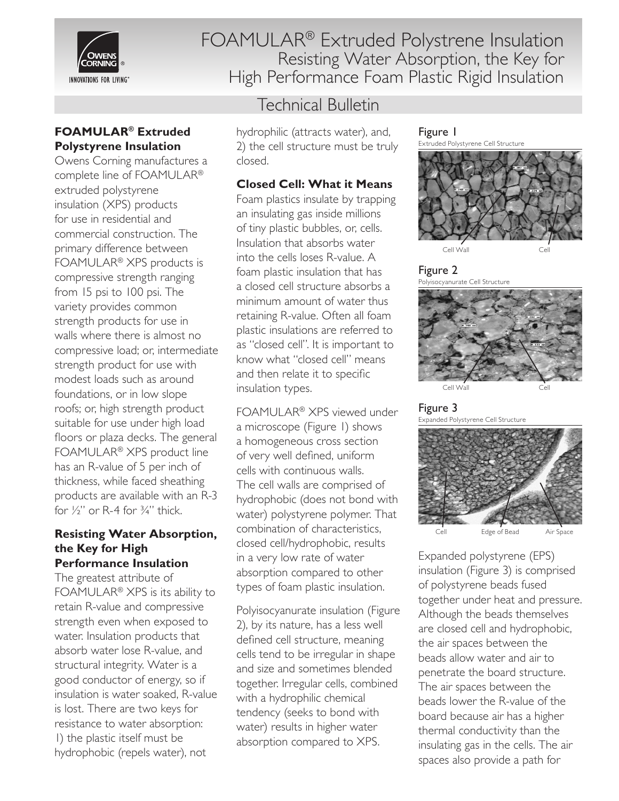

### **FOAMULAR® Extruded Polystyrene Insulation**

Owens Corning manufactures a complete line of FOAMULAR® extruded polystyrene insulation (XPS) products for use in residential and commercial construction. The primary difference between FOAMULAR® XPS products is compressive strength ranging from 15 psi to 100 psi. The variety provides common strength products for use in walls where there is almost no compressive load; or, intermediate strength product for use with modest loads such as around foundations, or in low slope roofs; or, high strength product suitable for use under high load floors or plaza decks. The general FOAMULAR® XPS product line has an R-value of 5 per inch of thickness, while faced sheathing products are available with an R-3 for  $\frac{1}{2}$ " or R-4 for  $\frac{3}{4}$ " thick.

#### **Resisting Water Absorption, the Key for High Performance Insulation**

The greatest attribute of FOAMULAR® XPS is its ability to retain R-value and compressive strength even when exposed to water. Insulation products that absorb water lose R-value, and structural integrity. Water is a good conductor of energy, so if insulation is water soaked, R-value is lost. There are two keys for resistance to water absorption: 1) the plastic itself must be hydrophobic (repels water), not

FOAMULAR® Extruded Polystrene Insulation Resisting Water Absorption, the Key for High Performance Foam Plastic Rigid Insulation

# Technical Bulletin

hydrophilic (attracts water), and, 2) the cell structure must be truly closed.

### **Closed Cell: What it Means**

Foam plastics insulate by trapping an insulating gas inside millions of tiny plastic bubbles, or, cells. Insulation that absorbs water into the cells loses R-value. A foam plastic insulation that has a closed cell structure absorbs a minimum amount of water thus retaining R-value. Often all foam plastic insulations are referred to as "closed cell". It is important to know what "closed cell" means and then relate it to specific insulation types.

FOAMULAR® XPS viewed under a microscope (Figure 1) shows a homogeneous cross section of very well defined, uniform cells with continuous walls. The cell walls are comprised of hydrophobic (does not bond with water) polystyrene polymer. That combination of characteristics, closed cell/hydrophobic, results in a very low rate of water absorption compared to other types of foam plastic insulation.

Polyisocyanurate insulation (Figure 2), by its nature, has a less well defined cell structure, meaning cells tend to be irregular in shape and size and sometimes blended together. Irregular cells, combined with a hydrophilic chemical tendency (seeks to bond with water) results in higher water absorption compared to XPS.

Figure 1



Figure 2 Polyisocyanurate Cell Structure



Figure 3 Expanded Polystyrene Cell Structure



Expanded polystyrene (EPS) insulation (Figure 3) is comprised of polystyrene beads fused together under heat and pressure. Although the beads themselves are closed cell and hydrophobic, the air spaces between the beads allow water and air to penetrate the board structure. The air spaces between the beads lower the R-value of the board because air has a higher thermal conductivity than the insulating gas in the cells. The air spaces also provide a path for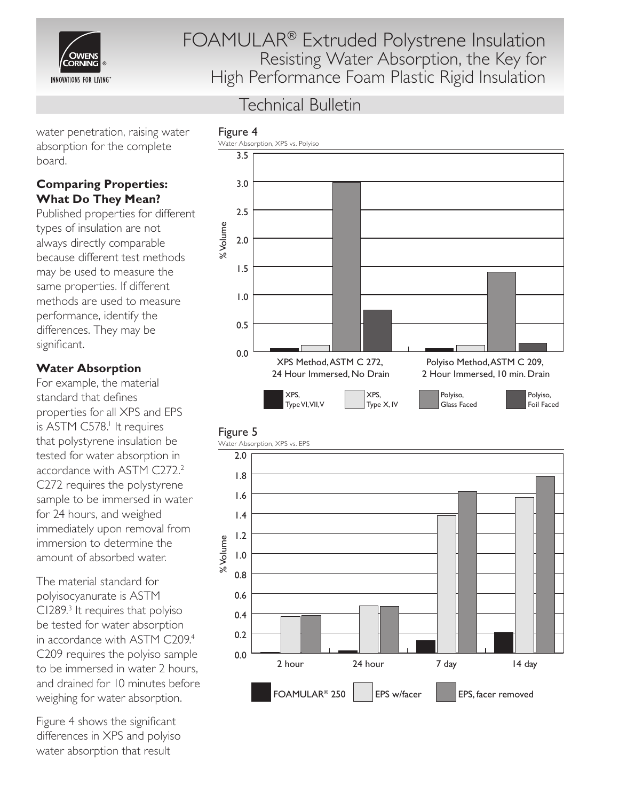

# Technical Bulletin

water penetration, raising water absorption for the complete board.

# **Comparing Properties: What Do They Mean?**

Published properties for different types of insulation are not always directly comparable because different test methods may be used to measure the same properties. If different methods are used to measure performance, identify the differences. They may be significant.

### **Water Absorption**

For example, the material standard that defines properties for all XPS and EPS is ASTM C578.<sup>1</sup> It requires that polystyrene insulation be tested for water absorption in accordance with ASTM C272.2 C272 requires the polystyrene sample to be immersed in water for 24 hours, and weighed immediately upon removal from immersion to determine the amount of absorbed water.

The material standard for polyisocyanurate is ASTM C1289.3 It requires that polyiso be tested for water absorption in accordance with ASTM C209.<sup>4</sup> C209 requires the polyiso sample to be immersed in water 2 hours, and drained for 10 minutes before weighing for water absorption.

Figure 4 shows the significant differences in XPS and polyiso water absorption that result



### Figure 5

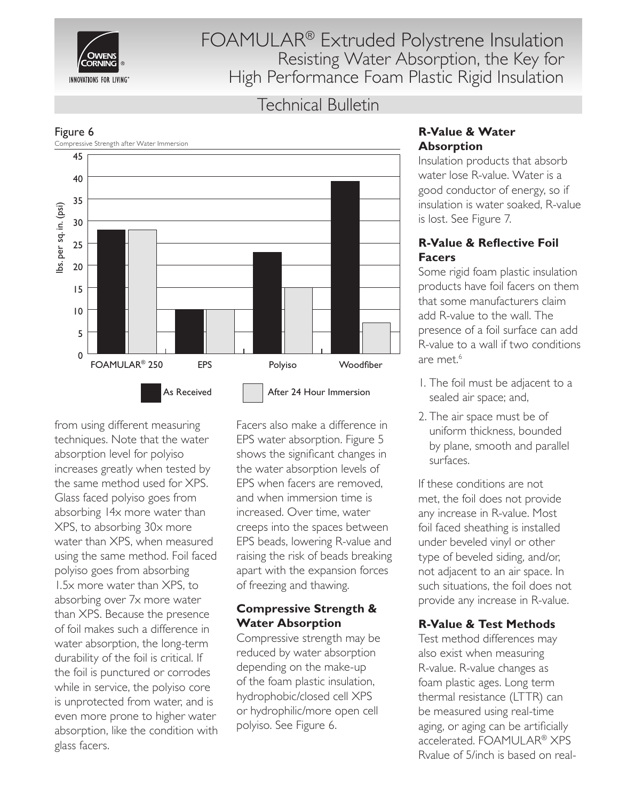

# Technical Bulletin



Figure 6

from using different measuring techniques. Note that the water absorption level for polyiso increases greatly when tested by the same method used for XPS. Glass faced polyiso goes from absorbing 14x more water than XPS, to absorbing 30x more water than XPS, when measured using the same method. Foil faced polyiso goes from absorbing 1.5x more water than XPS, to absorbing over 7x more water than XPS. Because the presence of foil makes such a difference in water absorption, the long-term durability of the foil is critical. If the foil is punctured or corrodes while in service, the polyiso core is unprotected from water, and is even more prone to higher water absorption, like the condition with glass facers.

Facers also make a difference in EPS water absorption. Figure 5 shows the significant changes in the water absorption levels of EPS when facers are removed, and when immersion time is increased. Over time, water creeps into the spaces between EPS beads, lowering R-value and raising the risk of beads breaking apart with the expansion forces of freezing and thawing.

### **Compressive Strength & Water Absorption**

Compressive strength may be reduced by water absorption depending on the make-up of the foam plastic insulation, hydrophobic/closed cell XPS or hydrophilic/more open cell polyiso. See Figure 6.

### **R-Value & Water Absorption**

Insulation products that absorb water lose R-value. Water is a good conductor of energy, so if insulation is water soaked, R-value is lost. See Figure 7.

# **R-Value & Reflective Foil Facers**

Some rigid foam plastic insulation products have foil facers on them that some manufacturers claim add R-value to the wall. The presence of a foil surface can add R-value to a wall if two conditions are met.<sup>6</sup>

- 1. The foil must be adjacent to a sealed air space; and,
- 2. The air space must be of uniform thickness, bounded by plane, smooth and parallel surfaces.

If these conditions are not met, the foil does not provide any increase in R-value. Most foil faced sheathing is installed under beveled vinyl or other type of beveled siding, and/or, not adjacent to an air space. In such situations, the foil does not provide any increase in R-value.

# **R-Value & Test Methods**

Test method differences may also exist when measuring R-value. R-value changes as foam plastic ages. Long term thermal resistance (LTTR) can be measured using real-time aging, or aging can be artificially accelerated. FOAMULAR® XPS Rvalue of 5/inch is based on real-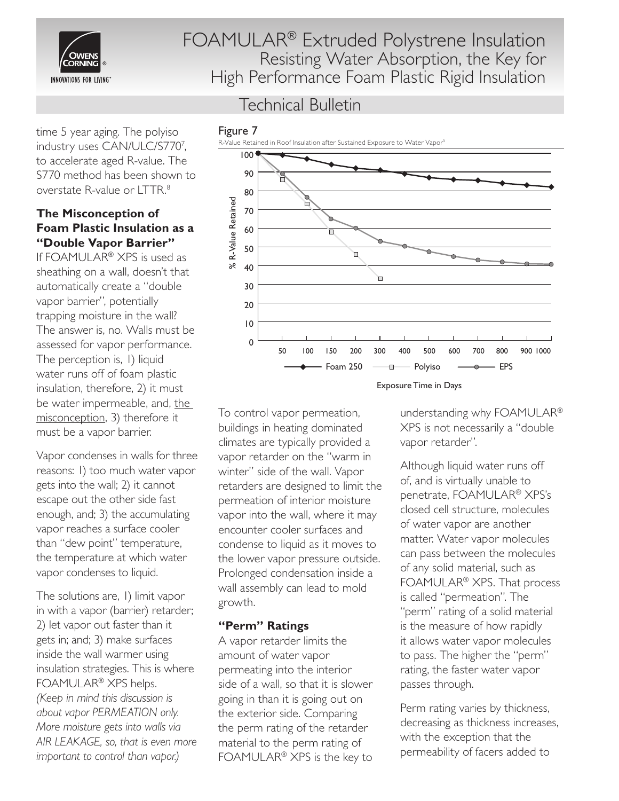

time 5 year aging. The polyiso industry uses CAN/ULC/S7707 , to accelerate aged R-value. The S770 method has been shown to overstate R-value or LTTR.8

#### **The Misconception of Foam Plastic Insulation as a "Double Vapor Barrier"**

If FOAMULAR® XPS is used as sheathing on a wall, doesn't that automatically create a "double vapor barrier", potentially trapping moisture in the wall? The answer is, no. Walls must be assessed for vapor performance. The perception is, 1) liquid water runs off of foam plastic insulation, therefore, 2) it must be water impermeable, and, the misconception, 3) therefore it must be a vapor barrier.

Vapor condenses in walls for three reasons: 1) too much water vapor gets into the wall; 2) it cannot escape out the other side fast enough, and; 3) the accumulating vapor reaches a surface cooler than "dew point" temperature, the temperature at which water vapor condenses to liquid.

The solutions are, 1) limit vapor in with a vapor (barrier) retarder; 2) let vapor out faster than it gets in; and; 3) make surfaces inside the wall warmer using insulation strategies. This is where FOAMULAR® XPS helps. *(Keep in mind this discussion is about vapor PERMEATION only. More moisture gets into walls via AIR LEAKAGE, so, that is even more important to control than vapor.)*

# Technical Bulletin



To control vapor permeation, buildings in heating dominated climates are typically provided a vapor retarder on the "warm in winter" side of the wall. Vapor retarders are designed to limit the permeation of interior moisture vapor into the wall, where it may encounter cooler surfaces and condense to liquid as it moves to the lower vapor pressure outside. Prolonged condensation inside a wall assembly can lead to mold growth.

#### **"Perm" Ratings**

A vapor retarder limits the amount of water vapor permeating into the interior side of a wall, so that it is slower going in than it is going out on the exterior side. Comparing the perm rating of the retarder material to the perm rating of FOAMULAR® XPS is the key to

understanding why FOAMULAR® XPS is not necessarily a "double vapor retarder".

Although liquid water runs off of, and is virtually unable to penetrate, FOAMULAR® XPS's closed cell structure, molecules of water vapor are another matter. Water vapor molecules can pass between the molecules of any solid material, such as FOAMULAR® XPS. That process is called "permeation". The "perm" rating of a solid material is the measure of how rapidly it allows water vapor molecules to pass. The higher the "perm" rating, the faster water vapor passes through.

Perm rating varies by thickness, decreasing as thickness increases, with the exception that the permeability of facers added to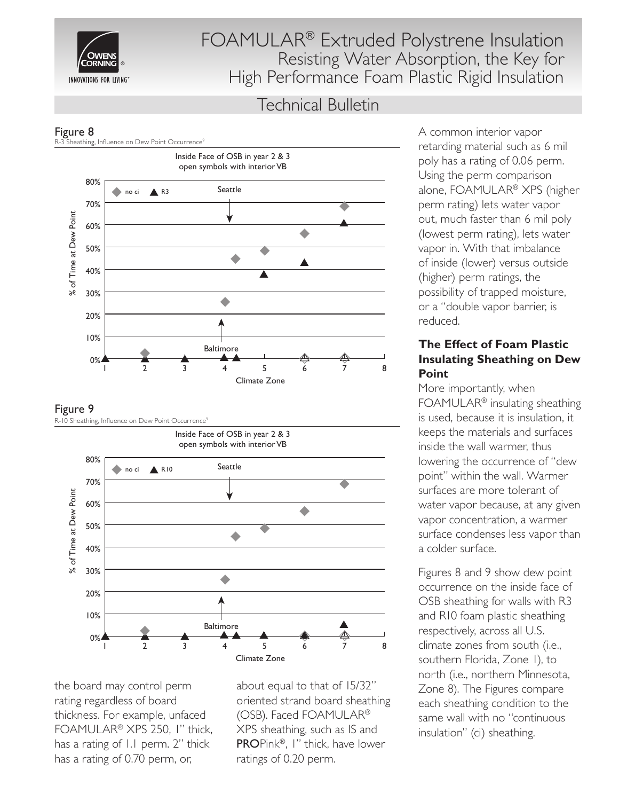

# Technical Bulletin



#### Figure 9



the board may control perm rating regardless of board thickness. For example, unfaced FOAMULAR® XPS 250, 1" thick, has a rating of 1.1 perm. 2" thick has a rating of 0.70 perm, or,

about equal to that of 15/32" oriented strand board sheathing (OSB). Faced FOAMULAR® XPS sheathing, such as IS and PROPink®, 1" thick, have lower ratings of 0.20 perm.

A common interior vapor retarding material such as 6 mil poly has a rating of 0.06 perm. Using the perm comparison alone, FOAMULAR® XPS (higher perm rating) lets water vapor out, much faster than 6 mil poly (lowest perm rating), lets water vapor in. With that imbalance of inside (lower) versus outside (higher) perm ratings, the possibility of trapped moisture, or a "double vapor barrier, is reduced.

#### **The Effect of Foam Plastic Insulating Sheathing on Dew Point**

More importantly, when FOAMULAR® insulating sheathing is used, because it is insulation, it keeps the materials and surfaces inside the wall warmer, thus lowering the occurrence of "dew point" within the wall. Warmer surfaces are more tolerant of water vapor because, at any given vapor concentration, a warmer surface condenses less vapor than a colder surface.

Figures 8 and 9 show dew point occurrence on the inside face of OSB sheathing for walls with R3 and R10 foam plastic sheathing respectively, across all U.S. climate zones from south (i.e., southern Florida, Zone 1), to north (i.e., northern Minnesota, Zone 8). The Figures compare each sheathing condition to the same wall with no "continuous insulation" (ci) sheathing.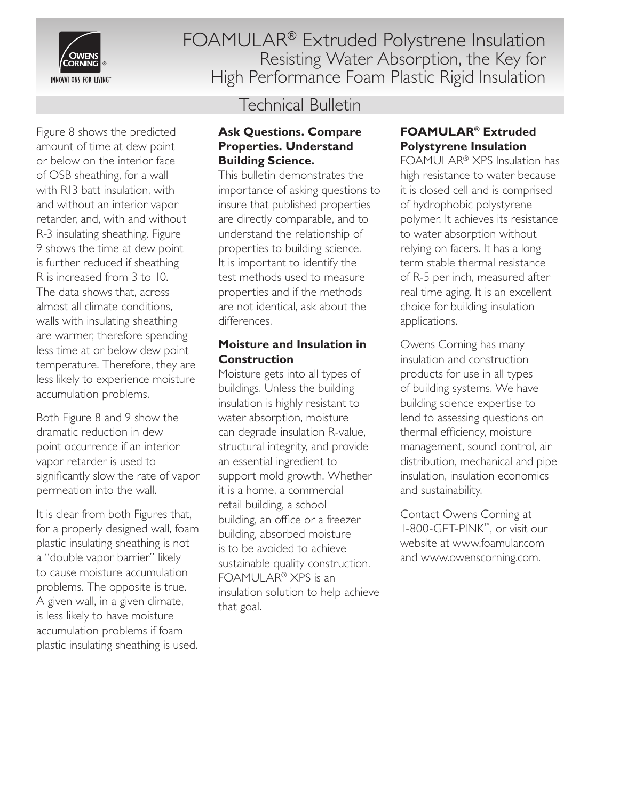

Figure 8 shows the predicted amount of time at dew point or below on the interior face of OSB sheathing, for a wall with R13 batt insulation, with and without an interior vapor retarder, and, with and without R-3 insulating sheathing. Figure 9 shows the time at dew point is further reduced if sheathing R is increased from 3 to 10. The data shows that, across almost all climate conditions, walls with insulating sheathing are warmer, therefore spending less time at or below dew point temperature. Therefore, they are less likely to experience moisture accumulation problems.

Both Figure 8 and 9 show the dramatic reduction in dew point occurrence if an interior vapor retarder is used to significantly slow the rate of vapor permeation into the wall.

It is clear from both Figures that, for a properly designed wall, foam plastic insulating sheathing is not a "double vapor barrier" likely to cause moisture accumulation problems. The opposite is true. A given wall, in a given climate, is less likely to have moisture accumulation problems if foam plastic insulating sheathing is used.

# Technical Bulletin

#### **Ask Questions. Compare Properties. Understand Building Science.**

This bulletin demonstrates the importance of asking questions to insure that published properties are directly comparable, and to understand the relationship of properties to building science. It is important to identify the test methods used to measure properties and if the methods are not identical, ask about the differences.

### **Moisture and Insulation in Construction**

Moisture gets into all types of buildings. Unless the building insulation is highly resistant to water absorption, moisture can degrade insulation R-value, structural integrity, and provide an essential ingredient to support mold growth. Whether it is a home, a commercial retail building, a school building, an office or a freezer building, absorbed moisture is to be avoided to achieve sustainable quality construction. FOAMULAR® XPS is an insulation solution to help achieve that goal.

### **FOAMULAR® Extruded Polystyrene Insulation**

FOAMULAR® XPS Insulation has high resistance to water because it is closed cell and is comprised of hydrophobic polystyrene polymer. It achieves its resistance to water absorption without relying on facers. It has a long term stable thermal resistance of R-5 per inch, measured after real time aging. It is an excellent choice for building insulation applications.

Owens Corning has many insulation and construction products for use in all types of building systems. We have building science expertise to lend to assessing questions on thermal efficiency, moisture management, sound control, air distribution, mechanical and pipe insulation, insulation economics and sustainability.

Contact Owens Corning at 1-800-GET-PINK™, or visit our website at www.foamular.com and www.owenscorning.com.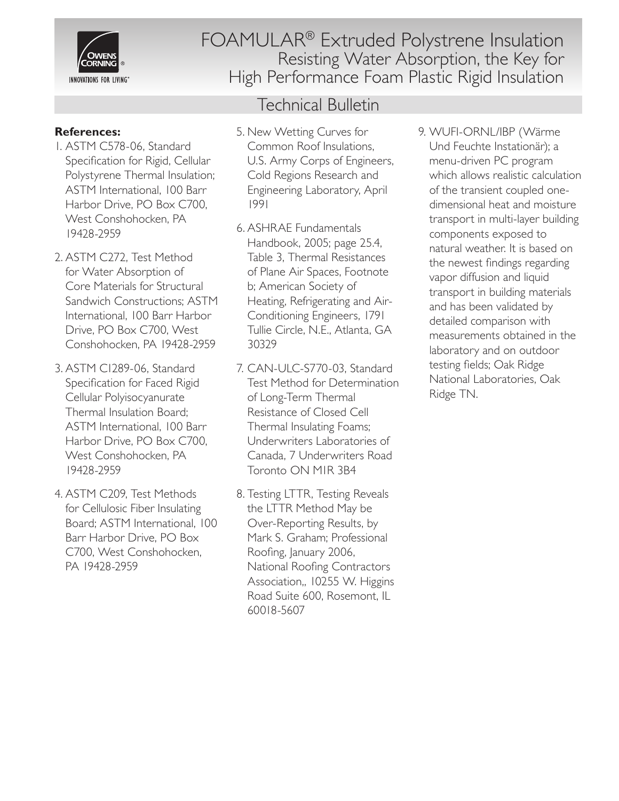

### **References:**

- 1. ASTM C578-06, Standard Specification for Rigid, Cellular Polystyrene Thermal Insulation; ASTM International, 100 Barr Harbor Drive, PO Box C700, West Conshohocken, PA 19428-2959
- 2. ASTM C272, Test Method for Water Absorption of Core Materials for Structural Sandwich Constructions; ASTM International, 100 Barr Harbor Drive, PO Box C700, West Conshohocken, PA 19428-2959
- 3. ASTM C1289-06, Standard Specification for Faced Rigid Cellular Polyisocyanurate Thermal Insulation Board; ASTM International, 100 Barr Harbor Drive, PO Box C700, West Conshohocken, PA 19428-2959
- 4. ASTM C209, Test Methods for Cellulosic Fiber Insulating Board; ASTM International, 100 Barr Harbor Drive, PO Box C700, West Conshohocken, PA 19428-2959

FOAMULAR® Extruded Polystrene Insulation Resisting Water Absorption, the Key for High Performance Foam Plastic Rigid Insulation

# Technical Bulletin

- 5. New Wetting Curves for Common Roof Insulations, U.S. Army Corps of Engineers, Cold Regions Research and Engineering Laboratory, April 1991
- 6. ASHRAE Fundamentals Handbook, 2005; page 25.4, Table 3, Thermal Resistances of Plane Air Spaces, Footnote b; American Society of Heating, Refrigerating and Air-Conditioning Engineers, 1791 Tullie Circle, N.E., Atlanta, GA 30329
- 7. CAN-ULC-S770-03, Standard Test Method for Determination of Long-Term Thermal Resistance of Closed Cell Thermal Insulating Foams; Underwriters Laboratories of Canada, 7 Underwriters Road Toronto ON M1R 3B4
- 8. Testing LTTR, Testing Reveals the LTTR Method May be Over-Reporting Results, by Mark S. Graham; Professional Roofing, January 2006, National Roofing Contractors Association,, 10255 W. Higgins Road Suite 600, Rosemont, IL 60018-5607

9. WUFI-ORNL/IBP (Wärme Und Feuchte Instationär); a menu-driven PC program which allows realistic calculation of the transient coupled onedimensional heat and moisture transport in multi-layer building components exposed to natural weather. It is based on the newest findings regarding vapor diffusion and liquid transport in building materials and has been validated by detailed comparison with measurements obtained in the laboratory and on outdoor testing fields; Oak Ridge National Laboratories, Oak Ridge TN.